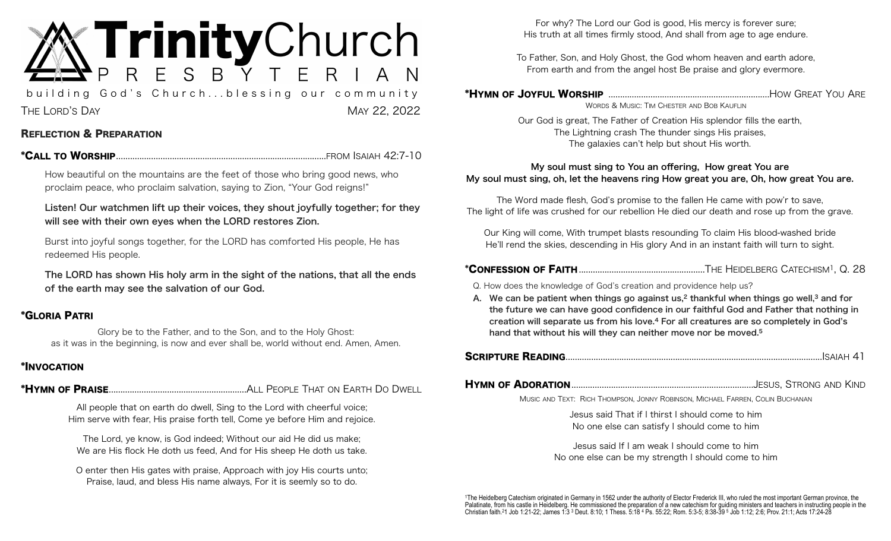# **Trinity**Church

building God's Church...blessing our community THE LORD'S DAY **MAY 22, 2022** 

### REFLECTION & PREPARATION

\*CALL TO WORSHIP..........................................................................................FROM ISAIAH 42:7-10

How beautiful on the mountains are the feet of those who bring good news, who proclaim peace, who proclaim salvation, saying to Zion, "Your God reigns!"

### Listen! Our watchmen lift up their voices, they shout joyfully together; for they will see with their own eyes when the LORD restores Zion.

Burst into joyful songs together, for the LORD has comforted His people, He has redeemed His people.

The LORD has shown His holy arm in the sight of the nations, that all the ends of the earth may see the salvation of our God.

### \*GLORIA PATRI

Glory be to the Father, and to the Son, and to the Holy Ghost: as it was in the beginning, is now and ever shall be, world without end. Amen, Amen.

### \*INVOCATION

\*HYMN OF PRAISE A ........................................................... LL PEOPLE THAT ON EARTH DO DWELL

All people that on earth do dwell, Sing to the Lord with cheerful voice; Him serve with fear, His praise forth tell, Come ye before Him and rejoice.

The Lord, ye know, is God indeed; Without our aid He did us make; We are His flock He doth us feed, And for His sheep He doth us take.

O enter then His gates with praise, Approach with joy His courts unto; Praise, laud, and bless His name always, For it is seemly so to do.

For why? The Lord our God is good, His mercy is forever sure; His truth at all times firmly stood, And shall from age to age endure.

To Father, Son, and Holy Ghost, the God whom heaven and earth adore, From earth and from the angel host Be praise and glory evermore.

WORDS & MUSIC: TIM CHESTER AND BOB KAUFLIN

\*HYMN OF JOYFUL WORSHIP H ..................................................................... OW GREAT YOU ARE

Our God is great, The Father of Creation His splendor fills the earth, The Lightning crash The thunder sings His praises, The galaxies can't help but shout His worth.

### My soul must sing to You an offering, How great You are My soul must sing, oh, let the heavens ring How great you are, Oh, how great You are.

The Word made flesh, God's promise to the fallen He came with pow'r to save, The light of life was crushed for our rebellion He died our death and rose up from the grave.

Our King will come, With trumpet blasts resounding To claim His blood-washed bride He'll rend the skies, descending in His glory And in an instant faith will turn to sight.

\*CONFESSION OF FAITH ..THE HEIDELBERG CATECHISM1 .................................................... , Q. 28

Q. How does the knowledge of God's creation and providence help us?

A. We can be patient when things go against us,<sup>2</sup> thankful when things go well,<sup>3</sup> and for the future we can have good confidence in our faithful God and Father that nothing in creation will separate us from his love.4 For all creatures are so completely in God's hand that without his will they can neither move nor be moved.<sup>5</sup>

SCRIPTURE READING ..I ............................................................................................................ SAIAH 41

|--|

MUSIC AND TEXT: RICH THOMPSON, JONNY ROBINSON, MICHAEL FARREN, COLIN BUCHANAN

Jesus said That if I thirst I should come to him No one else can satisfy I should come to him

Jesus said If I am weak I should come to him No one else can be my strength I should come to him

1The Heidelberg Catechism originated in Germany in 1562 under the authority of Elector Frederick III, who ruled the most important German province, the Palatinate, from his castle in Heidelberg. He commissioned the preparation of a new catechism for guiding ministers and teachers in instructing people in the Christian faith.21 Job 1:21-22; James 1:3 3 Deut. 8:10; 1 Thess. 5:18 4 Ps. 55:22; Rom. 5:3-5; 8:38-39 5 Job 1:12; 2:6; Prov. 21:1; Acts 17:24-28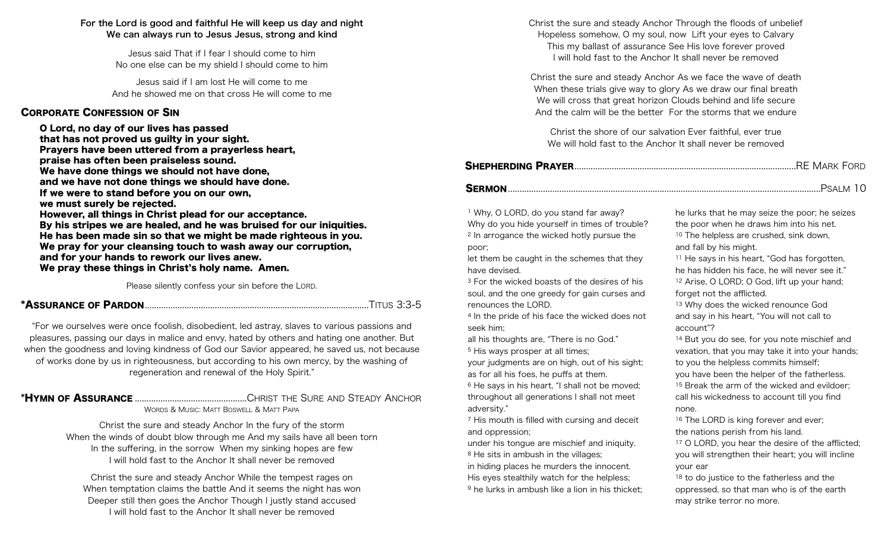### For the Lord is good and faithful He will keep us day and night We can always run to Jesus Jesus, strong and kind

Jesus said That if I fear I should come to him No one else can be my shield I should come to him

Jesus said if I am lost He will come to me And he showed me on that cross He will come to me

### CORPORATE CONFESSION OF SIN

O Lord, no day of our lives has passed that has not proved us guilty in your sight. Prayers have been uttered from a prayerless heart, praise has often been praiseless sound. We have done things we should not have done, and we have not done things we should have done. If we were to stand before you on our own, we must surely be rejected. However, all things in Christ plead for our acceptance. By his stripes we are healed, and he was bruised for our iniquities. He has been made sin so that we might be made righteous in you. We pray for your cleansing touch to wash away our corruption, and for your hands to rework our lives anew. We pray these things in Christ's holy name. Amen.

Please silently confess your sin before the LORD.

### \*ASSURANCE OF PARDON T ................................................................................................ ITUS 3:3-5

"For we ourselves were once foolish, disobedient, led astray, slaves to various passions and pleasures, passing our days in malice and envy, hated by others and hating one another. But when the goodness and loving kindness of God our Savior appeared, he saved us, not because of works done by us in righteousness, but according to his own mercy, by the washing of regeneration and renewal of the Holy Spirit."

### \*HYMN OF ASSURANCE C ................................................ HRIST THE SURE AND STEADY ANCHOR WORDS & MUSIC: MATT BOSWELL & MATT PAPA

Christ the sure and steady Anchor In the fury of the storm When the winds of doubt blow through me And my sails have all been torn In the suffering, in the sorrow When my sinking hopes are few I will hold fast to the Anchor It shall never be removed

Christ the sure and steady Anchor While the tempest rages on When temptation claims the battle And it seems the night has won Deeper still then goes the Anchor Though I justly stand accused I will hold fast to the Anchor It shall never be removed

Christ the sure and steady Anchor Through the floods of unbelief Hopeless somehow, O my soul, now Lift your eyes to Calvary This my ballast of assurance See His love forever proved I will hold fast to the Anchor It shall never be removed

Christ the sure and steady Anchor As we face the wave of death When these trials give way to glory As we draw our final breath We will cross that great horizon Clouds behind and life secure And the calm will be the better For the storms that we endure

Christ the shore of our salvation Ever faithful, ever true We will hold fast to the Anchor It shall never be removed

### SHEPHERDING PRAYER RE M ............................................................................................... ARK FORD

### SERMON P ...................................................................................................................................... SALM 10

<sup>1</sup> Why, O LORD, do you stand far away? Why do you hide yourself in times of trouble? 2 In arrogance the wicked hotly pursue the poor;

let them be caught in the schemes that they have devised.

<sup>3</sup> For the wicked boasts of the desires of his soul, and the one greedy for gain curses and renounces the LORD.

4 In the pride of his face the wicked does not seek him;

all his thoughts are, "There is no God." 5 His ways prosper at all times;

your judgments are on high, out of his sight; as for all his foes, he puffs at them.

6 He says in his heart, "I shall not be moved; throughout all generations I shall not meet adversity."

7 His mouth is filled with cursing and deceit and oppression;

under his tongue are mischief and iniquity. <sup>8</sup> He sits in ambush in the villages; in hiding places he murders the innocent. His eyes stealthily watch for the helpless; 9 he lurks in ambush like a lion in his thicket; he lurks that he may seize the poor; he seizes the poor when he draws him into his net. <sup>10</sup> The helpless are crushed, sink down, and fall by his might. <sup>11</sup> He says in his heart, "God has forgotten, he has hidden his face, he will never see it." 12 Arise, O LORD; O God, lift up your hand;

forget not the afflicted.

<sup>13</sup> Why does the wicked renounce God and say in his heart, "You will not call to account"?

<sup>14</sup> But you do see, for you note mischief and vexation, that you may take it into your hands; to you the helpless commits himself; you have been the helper of the fatherless. <sup>15</sup> Break the arm of the wicked and evildoer: call his wickedness to account till you find none.

<sup>16</sup> The LORD is king forever and ever; the nations perish from his land.

<sup>17</sup> O LORD, you hear the desire of the afflicted; you will strengthen their heart; you will incline your ear

<sup>18</sup> to do justice to the fatherless and the oppressed, so that man who is of the earth may strike terror no more.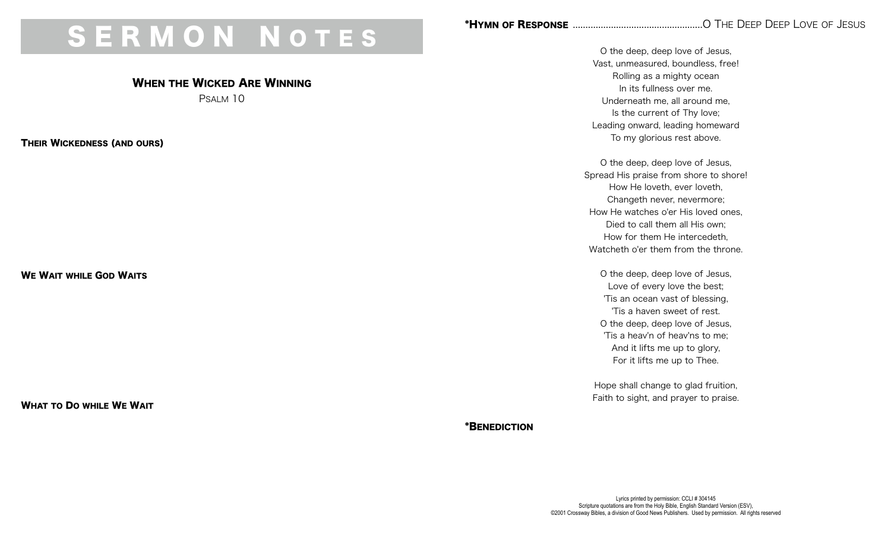O the deep, deep love of Jesus, Vast, unmeasured, boundless, free! Rolling as a mighty ocean In its fullness over me. Underneath me, all around me, Is the current of Thy love; Leading onward, leading homeward To my glorious rest above.

O the deep, deep love of Jesus, Spread His praise from shore to shore! How He loveth, ever loveth, Changeth never, nevermore; How He watches o'er His loved ones, Died to call them all His own; How for them He intercedeth, Watcheth o'er them from the throne.

O the deep, deep love of Jesus, Love of every love the best; 'Tis an ocean vast of blessing, 'Tis a haven sweet of rest. O the deep, deep love of Jesus, 'Tis a heav'n of heav'ns to me; And it lifts me up to glory, For it lifts me up to Thee.

Hope shall change to glad fruition, Faith to sight, and prayer to praise.

### \*BENEDICTION

#### Lyrics printed by permission: CCLI # 304145 Scripture quotations are from the Holy Bible, English Standard Version (ESV), ©2001 Crossway Bibles, a division of Good News Publishers. Used by permission. All rights reserved

### SERMON NOTES

### WHEN THE WICKED ARE WINNING

PSALM 10

THEIR WICKEDNESS (AND OURS)

### WE WAIT WHILE GOD WAITS

WHAT TO DO WHILE WE WAIT